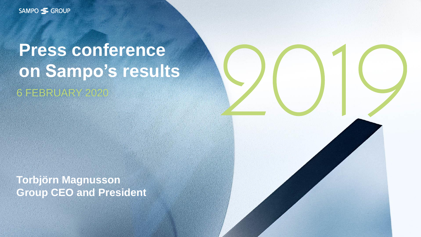SAMPO SGROUP

# **Press conference on Sampo's results** 6 FEBRUARY

**Torbjörn Magnusson Group CEO and President**

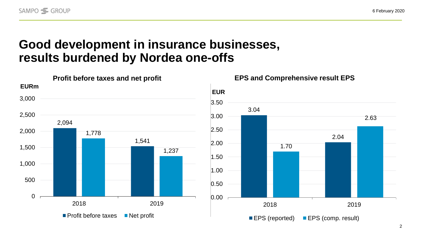#### **Good development in insurance businesses, results burdened by Nordea one-offs**

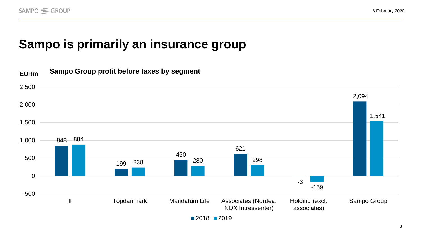## **Sampo is primarily an insurance group**

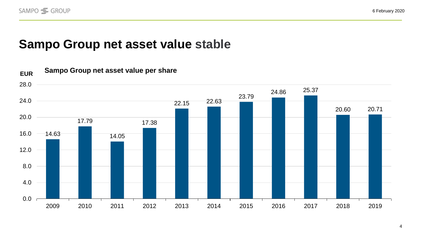#### **Sampo Group net asset value stable**

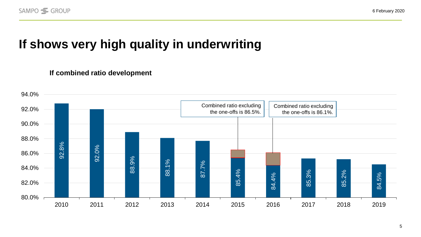## **If shows very high quality in underwriting**

#### **If combined ratio development**

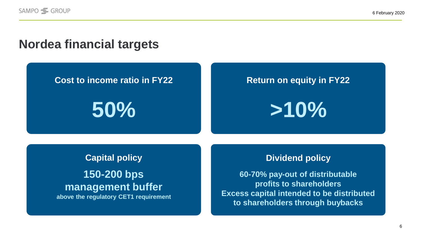#### **Nordea financial targets**

#### **Cost to income ratio in FY22**

**50%**

#### **Return on equity in FY22**

**>10%**

# **Capital policy 150-200 bps management buffer**

**above the regulatory CET1 requirement**

#### **Dividend policy**

**60-70% pay-out of distributable profits to shareholders Excess capital intended to be distributed to shareholders through buybacks**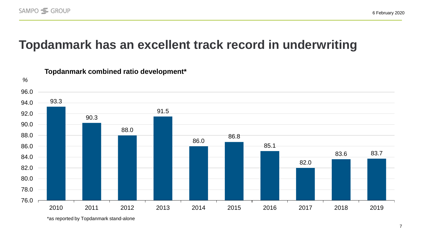### **Topdanmark has an excellent track record in underwriting**



#### **Topdanmark combined ratio development\***

\*as reported by Topdanmark stand-alone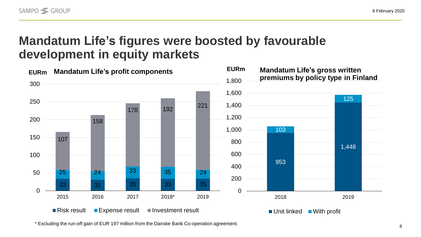### **Mandatum Life's figures were boosted by favourable development in equity markets**



\* Excluding the run-off gain of EUR 197 million from the Danske Bank Co-operation agreement.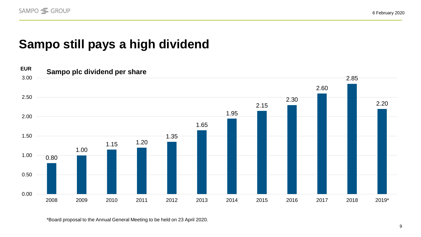6 February 2020

## **Sampo still pays a high dividend**



\*Board proposal to the Annual General Meeting to be held on 23 April 2020.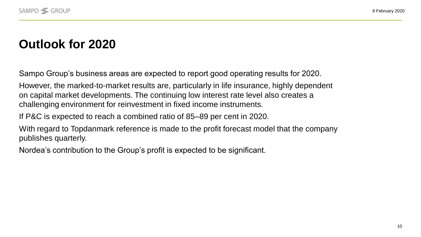### **Outlook for 2020**

Sampo Group's business areas are expected to report good operating results for 2020.

However, the marked-to-market results are, particularly in life insurance, highly dependent on capital market developments. The continuing low interest rate level also creates a challenging environment for reinvestment in fixed income instruments.

If P&C is expected to reach a combined ratio of 85–89 per cent in 2020.

With regard to Topdanmark reference is made to the profit forecast model that the company publishes quarterly.

Nordea's contribution to the Group's profit is expected to be significant.